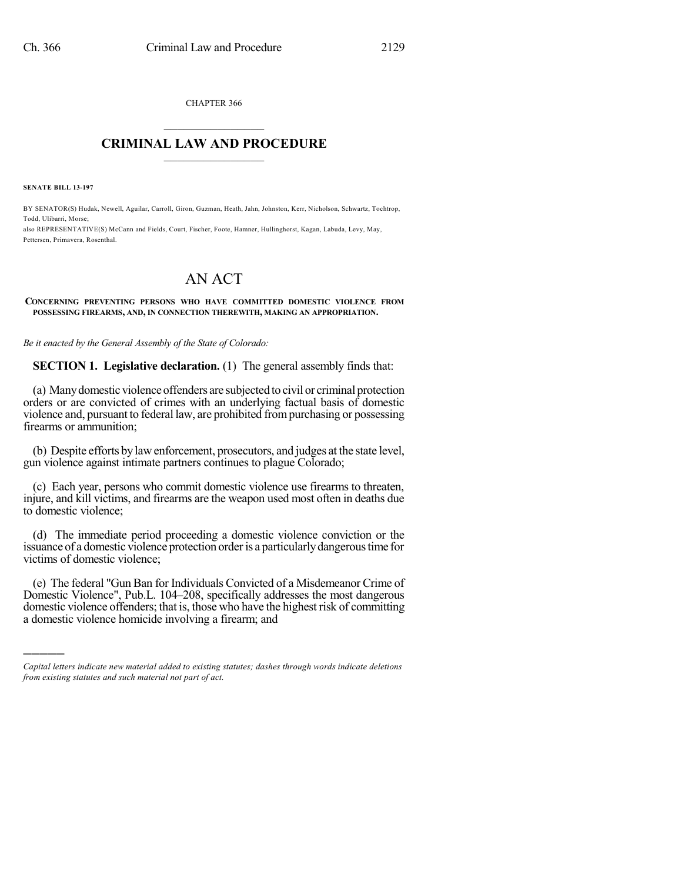CHAPTER 366  $\mathcal{L}_\text{max}$  . The set of the set of the set of the set of the set of the set of the set of the set of the set of the set of the set of the set of the set of the set of the set of the set of the set of the set of the set

## **CRIMINAL LAW AND PROCEDURE**  $\_$

**SENATE BILL 13-197**

)))))

BY SENATOR(S) Hudak, Newell, Aguilar, Carroll, Giron, Guzman, Heath, Jahn, Johnston, Kerr, Nicholson, Schwartz, Tochtrop, Todd, Ulibarri, Morse; also REPRESENTATIVE(S) McCann and Fields, Court, Fischer, Foote, Hamner, Hullinghorst, Kagan, Labuda, Levy, May, Pettersen, Primavera, Rosenthal.

# AN ACT

#### **CONCERNING PREVENTING PERSONS WHO HAVE COMMITTED DOMESTIC VIOLENCE FROM POSSESSING FIREARMS, AND, IN CONNECTION THEREWITH, MAKING AN APPROPRIATION.**

*Be it enacted by the General Assembly of the State of Colorado:*

**SECTION 1. Legislative declaration.** (1) The general assembly finds that:

(a) Manydomesticviolenceoffenders are subjected to civil or criminal protection orders or are convicted of crimes with an underlying factual basis of domestic violence and, pursuant to federal law, are prohibited frompurchasing or possessing firearms or ammunition;

(b) Despite efforts by law enforcement, prosecutors, and judges at the state level, gun violence against intimate partners continues to plague Colorado;

(c) Each year, persons who commit domestic violence use firearms to threaten, injure, and kill victims, and firearms are the weapon used most often in deaths due to domestic violence;

(d) The immediate period proceeding a domestic violence conviction or the issuance of a domestic violence protection orderis a particularlydangeroustime for victims of domestic violence;

(e) The federal "Gun Ban for Individuals Convicted of a Misdemeanor Crime of Domestic Violence", Pub.L. 104–208, specifically addresses the most dangerous domestic violence offenders; that is, those who have the highest risk of committing a domestic violence homicide involving a firearm; and

*Capital letters indicate new material added to existing statutes; dashes through words indicate deletions from existing statutes and such material not part of act.*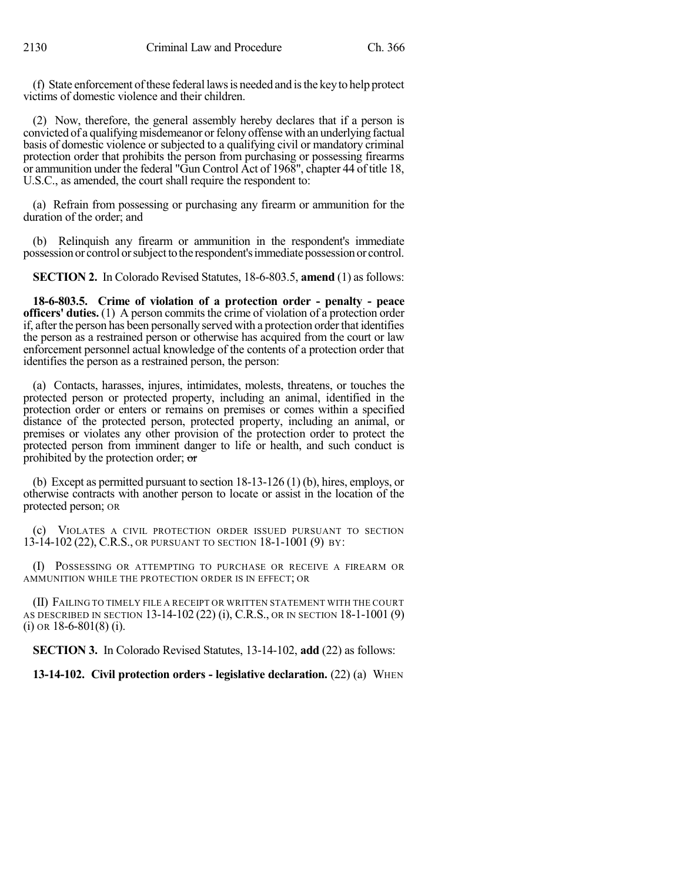(f) State enforcement ofthese federal lawsis needed and isthe keyto help protect victims of domestic violence and their children.

(2) Now, therefore, the general assembly hereby declares that if a person is convicted of a qualifying misdemeanor orfelony offense with an underlying factual basis of domestic violence or subjected to a qualifying civil or mandatory criminal protection order that prohibits the person from purchasing or possessing firearms or ammunition under the federal "Gun Control Act of 1968", chapter 44 of title 18, U.S.C., as amended, the court shall require the respondent to:

(a) Refrain from possessing or purchasing any firearm or ammunition for the duration of the order; and

(b) Relinquish any firearm or ammunition in the respondent's immediate possessionor control orsubjecttothe respondent'simmediatepossessionor control.

**SECTION 2.** In Colorado Revised Statutes, 18-6-803.5, **amend** (1) as follows:

**18-6-803.5. Crime of violation of a protection order - penalty - peace officers' duties.** (1) A person commits the crime of violation of a protection order if, after the person has been personally served with a protection order that identifies the person as a restrained person or otherwise has acquired from the court or law enforcement personnel actual knowledge of the contents of a protection order that identifies the person as a restrained person, the person:

(a) Contacts, harasses, injures, intimidates, molests, threatens, or touches the protected person or protected property, including an animal, identified in the protection order or enters or remains on premises or comes within a specified distance of the protected person, protected property, including an animal, or premises or violates any other provision of the protection order to protect the protected person from imminent danger to life or health, and such conduct is prohibited by the protection order; or

(b) Except as permitted pursuant to section 18-13-126 (1) (b), hires, employs, or otherwise contracts with another person to locate or assist in the location of the protected person; OR

(c) VIOLATES A CIVIL PROTECTION ORDER ISSUED PURSUANT TO SECTION 13-14-102 (22), C.R.S., OR PURSUANT TO SECTION 18-1-1001 (9) BY:

(I) POSSESSING OR ATTEMPTING TO PURCHASE OR RECEIVE A FIREARM OR AMMUNITION WHILE THE PROTECTION ORDER IS IN EFFECT; OR

(II) FAILING TO TIMELY FILE A RECEIPT OR WRITTEN STATEMENT WITH THE COURT AS DESCRIBED IN SECTION 13-14-102 (22) (i), C.R.S., OR IN SECTION 18-1-1001 (9)  $(i)$  OR 18-6-801 $(8)$   $(i)$ .

**SECTION 3.** In Colorado Revised Statutes, 13-14-102, **add** (22) as follows:

**13-14-102. Civil protection orders - legislative declaration.** (22) (a) WHEN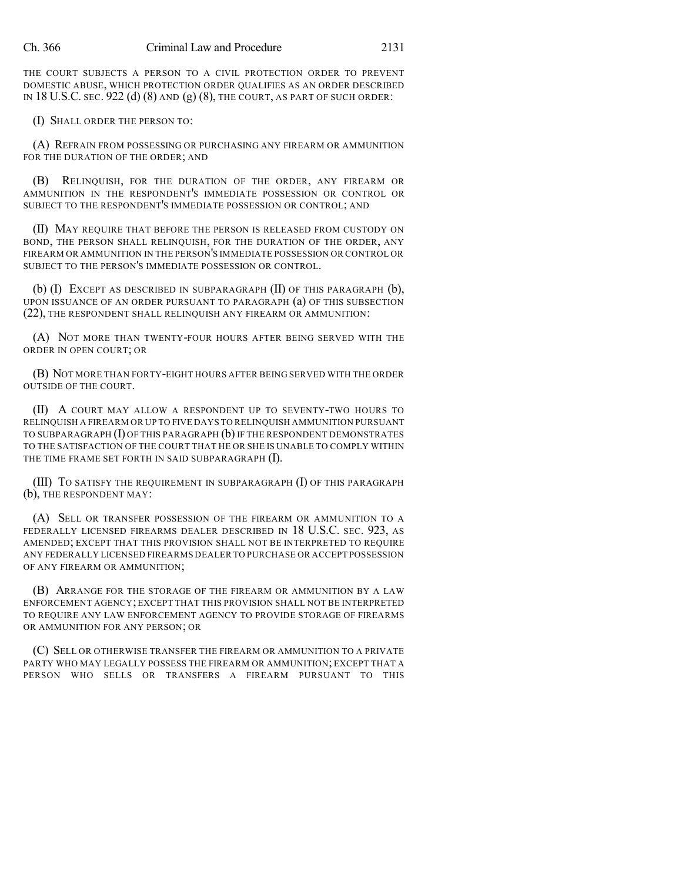THE COURT SUBJECTS A PERSON TO A CIVIL PROTECTION ORDER TO PREVENT DOMESTIC ABUSE, WHICH PROTECTION ORDER QUALIFIES AS AN ORDER DESCRIBED IN 18 U.S.C. SEC. 922 (d)  $(8)$  and  $(g)$   $(8)$ , the court, as part of such order:

(I) SHALL ORDER THE PERSON TO:

(A) REFRAIN FROM POSSESSING OR PURCHASING ANY FIREARM OR AMMUNITION FOR THE DURATION OF THE ORDER; AND

(B) RELINQUISH, FOR THE DURATION OF THE ORDER, ANY FIREARM OR AMMUNITION IN THE RESPONDENT'S IMMEDIATE POSSESSION OR CONTROL OR SUBJECT TO THE RESPONDENT'S IMMEDIATE POSSESSION OR CONTROL; AND

(II) MAY REQUIRE THAT BEFORE THE PERSON IS RELEASED FROM CUSTODY ON BOND, THE PERSON SHALL RELINQUISH, FOR THE DURATION OF THE ORDER, ANY FIREARM OR AMMUNITION IN THE PERSON'S IMMEDIATE POSSESSION OR CONTROL OR SUBJECT TO THE PERSON'S IMMEDIATE POSSESSION OR CONTROL.

(b) (I) EXCEPT AS DESCRIBED IN SUBPARAGRAPH (II) OF THIS PARAGRAPH (b), UPON ISSUANCE OF AN ORDER PURSUANT TO PARAGRAPH (a) OF THIS SUBSECTION (22), THE RESPONDENT SHALL RELINQUISH ANY FIREARM OR AMMUNITION:

(A) NOT MORE THAN TWENTY-FOUR HOURS AFTER BEING SERVED WITH THE ORDER IN OPEN COURT; OR

(B) NOT MORE THAN FORTY-EIGHT HOURS AFTER BEING SERVED WITH THE ORDER OUTSIDE OF THE COURT.

(II) A COURT MAY ALLOW A RESPONDENT UP TO SEVENTY-TWO HOURS TO RELINQUISH A FIREARM OR UP TO FIVE DAYS TO RELINQUISH AMMUNITION PURSUANT TO SUBPARAGRAPH (I) OF THIS PARAGRAPH (b) IF THE RESPONDENT DEMONSTRATES TO THE SATISFACTION OF THE COURT THAT HE OR SHE IS UNABLE TO COMPLY WITHIN THE TIME FRAME SET FORTH IN SAID SUBPARAGRAPH (I).

(III) TO SATISFY THE REQUIREMENT IN SUBPARAGRAPH (I) OF THIS PARAGRAPH (b), THE RESPONDENT MAY:

(A) SELL OR TRANSFER POSSESSION OF THE FIREARM OR AMMUNITION TO A FEDERALLY LICENSED FIREARMS DEALER DESCRIBED IN 18 U.S.C. SEC. 923, AS AMENDED; EXCEPT THAT THIS PROVISION SHALL NOT BE INTERPRETED TO REQUIRE ANY FEDERALLY LICENSED FIREARMS DEALER TO PURCHASE OR ACCEPT POSSESSION OF ANY FIREARM OR AMMUNITION;

(B) ARRANGE FOR THE STORAGE OF THE FIREARM OR AMMUNITION BY A LAW ENFORCEMENT AGENCY; EXCEPT THAT THIS PROVISION SHALL NOT BE INTERPRETED TO REQUIRE ANY LAW ENFORCEMENT AGENCY TO PROVIDE STORAGE OF FIREARMS OR AMMUNITION FOR ANY PERSON; OR

(C) SELL OR OTHERWISE TRANSFER THE FIREARM OR AMMUNITION TO A PRIVATE PARTY WHO MAY LEGALLY POSSESS THE FIREARM OR AMMUNITION; EXCEPT THAT A PERSON WHO SELLS OR TRANSFERS A FIREARM PURSUANT TO THIS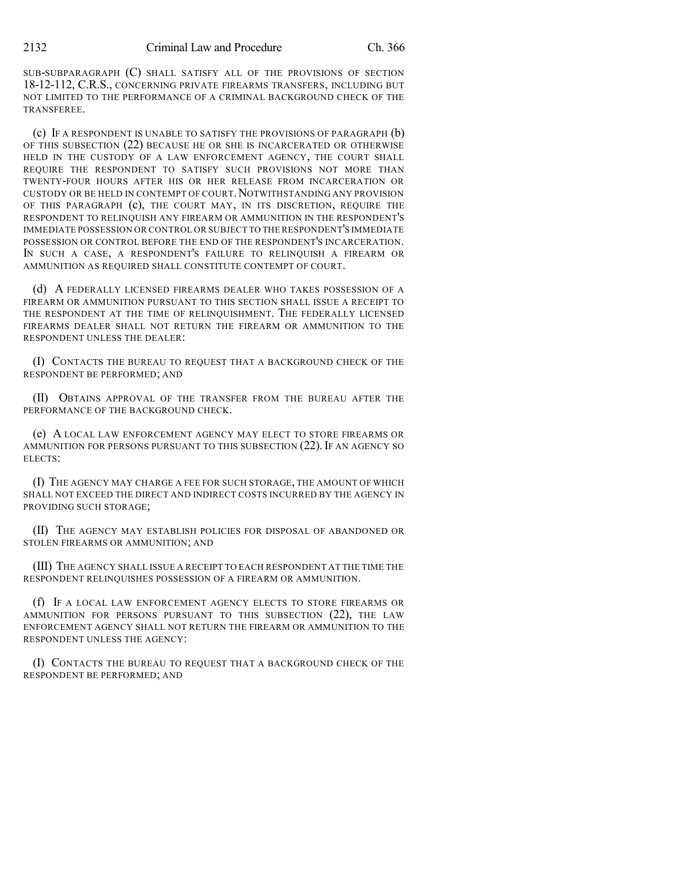SUB-SUBPARAGRAPH (C) SHALL SATISFY ALL OF THE PROVISIONS OF SECTION 18-12-112, C.R.S., CONCERNING PRIVATE FIREARMS TRANSFERS, INCLUDING BUT NOT LIMITED TO THE PERFORMANCE OF A CRIMINAL BACKGROUND CHECK OF THE TRANSFEREE.

(c) IF A RESPONDENT IS UNABLE TO SATISFY THE PROVISIONS OF PARAGRAPH (b) OF THIS SUBSECTION (22) BECAUSE HE OR SHE IS INCARCERATED OR OTHERWISE HELD IN THE CUSTODY OF A LAW ENFORCEMENT AGENCY, THE COURT SHALL REQUIRE THE RESPONDENT TO SATISFY SUCH PROVISIONS NOT MORE THAN TWENTY-FOUR HOURS AFTER HIS OR HER RELEASE FROM INCARCERATION OR CUSTODY OR BE HELD IN CONTEMPT OF COURT. NOTWITHSTANDING ANY PROVISION OF THIS PARAGRAPH (c), THE COURT MAY, IN ITS DISCRETION, REQUIRE THE RESPONDENT TO RELINQUISH ANY FIREARM OR AMMUNITION IN THE RESPONDENT'S IMMEDIATE POSSESSION OR CONTROL OR SUBJECT TO THE RESPONDENT'S IMMEDIATE POSSESSION OR CONTROL BEFORE THE END OF THE RESPONDENT'S INCARCERATION. IN SUCH A CASE, A RESPONDENT'S FAILURE TO RELINQUISH A FIREARM OR AMMUNITION AS REQUIRED SHALL CONSTITUTE CONTEMPT OF COURT.

(d) A FEDERALLY LICENSED FIREARMS DEALER WHO TAKES POSSESSION OF A FIREARM OR AMMUNITION PURSUANT TO THIS SECTION SHALL ISSUE A RECEIPT TO THE RESPONDENT AT THE TIME OF RELINQUISHMENT. THE FEDERALLY LICENSED FIREARMS DEALER SHALL NOT RETURN THE FIREARM OR AMMUNITION TO THE RESPONDENT UNLESS THE DEALER:

(I) CONTACTS THE BUREAU TO REQUEST THAT A BACKGROUND CHECK OF THE RESPONDENT BE PERFORMED; AND

(II) OBTAINS APPROVAL OF THE TRANSFER FROM THE BUREAU AFTER THE PERFORMANCE OF THE BACKGROUND CHECK.

(e) A LOCAL LAW ENFORCEMENT AGENCY MAY ELECT TO STORE FIREARMS OR AMMUNITION FOR PERSONS PURSUANT TO THIS SUBSECTION (22). IF AN AGENCY SO ELECTS:

(I) THE AGENCY MAY CHARGE A FEE FOR SUCH STORAGE, THE AMOUNT OF WHICH SHALL NOT EXCEED THE DIRECT AND INDIRECT COSTS INCURRED BY THE AGENCY IN PROVIDING SUCH STORAGE;

(II) THE AGENCY MAY ESTABLISH POLICIES FOR DISPOSAL OF ABANDONED OR STOLEN FIREARMS OR AMMUNITION; AND

(III) THE AGENCY SHALL ISSUE A RECEIPT TO EACH RESPONDENT AT THE TIME THE RESPONDENT RELINQUISHES POSSESSION OF A FIREARM OR AMMUNITION.

(f) IF A LOCAL LAW ENFORCEMENT AGENCY ELECTS TO STORE FIREARMS OR AMMUNITION FOR PERSONS PURSUANT TO THIS SUBSECTION (22), THE LAW ENFORCEMENT AGENCY SHALL NOT RETURN THE FIREARM OR AMMUNITION TO THE RESPONDENT UNLESS THE AGENCY:

(I) CONTACTS THE BUREAU TO REQUEST THAT A BACKGROUND CHECK OF THE RESPONDENT BE PERFORMED; AND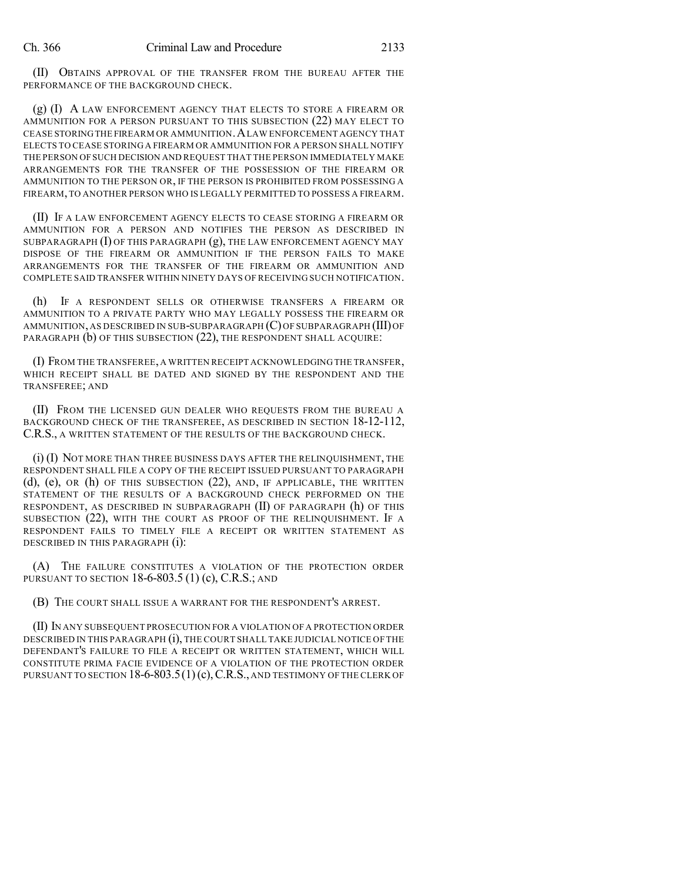(II) OBTAINS APPROVAL OF THE TRANSFER FROM THE BUREAU AFTER THE PERFORMANCE OF THE BACKGROUND CHECK.

(g) (I) A LAW ENFORCEMENT AGENCY THAT ELECTS TO STORE A FIREARM OR AMMUNITION FOR A PERSON PURSUANT TO THIS SUBSECTION (22) MAY ELECT TO CEASE STORINGTHE FIREARM OR AMMUNITION.ALAW ENFORCEMENT AGENCY THAT ELECTS TO CEASE STORING A FIREARM OR AMMUNITION FOR A PERSON SHALL NOTIFY THE PERSON OFSUCH DECISION AND REQUEST THAT THE PERSON IMMEDIATELY MAKE ARRANGEMENTS FOR THE TRANSFER OF THE POSSESSION OF THE FIREARM OR AMMUNITION TO THE PERSON OR, IF THE PERSON IS PROHIBITED FROM POSSESSING A FIREARM,TO ANOTHER PERSON WHO IS LEGALLY PERMITTED TO POSSESS A FIREARM.

(II) IF A LAW ENFORCEMENT AGENCY ELECTS TO CEASE STORING A FIREARM OR AMMUNITION FOR A PERSON AND NOTIFIES THE PERSON AS DESCRIBED IN SUBPARAGRAPH  $(I)$  OF THIS PARAGRAPH  $(g)$ , THE LAW ENFORCEMENT AGENCY MAY DISPOSE OF THE FIREARM OR AMMUNITION IF THE PERSON FAILS TO MAKE ARRANGEMENTS FOR THE TRANSFER OF THE FIREARM OR AMMUNITION AND COMPLETE SAID TRANSFER WITHIN NINETY DAYS OF RECEIVING SUCH NOTIFICATION.

(h) IF A RESPONDENT SELLS OR OTHERWISE TRANSFERS A FIREARM OR AMMUNITION TO A PRIVATE PARTY WHO MAY LEGALLY POSSESS THE FIREARM OR AMMUNITION, AS DESCRIBED IN SUB-SUBPARAGRAPH (C)OF SUBPARAGRAPH (III)OF PARAGRAPH (b) OF THIS SUBSECTION (22), THE RESPONDENT SHALL ACQUIRE:

(I) FROM THE TRANSFEREE, A WRITTEN RECEIPT ACKNOWLEDGING THE TRANSFER, WHICH RECEIPT SHALL BE DATED AND SIGNED BY THE RESPONDENT AND THE TRANSFEREE; AND

(II) FROM THE LICENSED GUN DEALER WHO REQUESTS FROM THE BUREAU A BACKGROUND CHECK OF THE TRANSFEREE, AS DESCRIBED IN SECTION 18-12-112, C.R.S., A WRITTEN STATEMENT OF THE RESULTS OF THE BACKGROUND CHECK.

(i) (I) NOT MORE THAN THREE BUSINESS DAYS AFTER THE RELINQUISHMENT, THE RESPONDENT SHALL FILE A COPY OF THE RECEIPT ISSUED PURSUANT TO PARAGRAPH (d), (e), OR (h) OF THIS SUBSECTION (22), AND, IF APPLICABLE, THE WRITTEN STATEMENT OF THE RESULTS OF A BACKGROUND CHECK PERFORMED ON THE RESPONDENT, AS DESCRIBED IN SUBPARAGRAPH (II) OF PARAGRAPH (h) OF THIS SUBSECTION (22), WITH THE COURT AS PROOF OF THE RELINQUISHMENT. IF A RESPONDENT FAILS TO TIMELY FILE A RECEIPT OR WRITTEN STATEMENT AS DESCRIBED IN THIS PARAGRAPH (i):

(A) THE FAILURE CONSTITUTES A VIOLATION OF THE PROTECTION ORDER PURSUANT TO SECTION 18-6-803.5 (1) (c), C.R.S.; AND

(B) THE COURT SHALL ISSUE A WARRANT FOR THE RESPONDENT'S ARREST.

(II) IN ANY SUBSEQUENT PROSECUTION FOR A VIOLATION OF A PROTECTION ORDER DESCRIBED IN THIS PARAGRAPH (i), THE COURT SHALL TAKE JUDICIAL NOTICE OF THE DEFENDANT'S FAILURE TO FILE A RECEIPT OR WRITTEN STATEMENT, WHICH WILL CONSTITUTE PRIMA FACIE EVIDENCE OF A VIOLATION OF THE PROTECTION ORDER PURSUANT TO SECTION 18-6-803.5(1)(c), C.R.S., AND TESTIMONY OF THE CLERK OF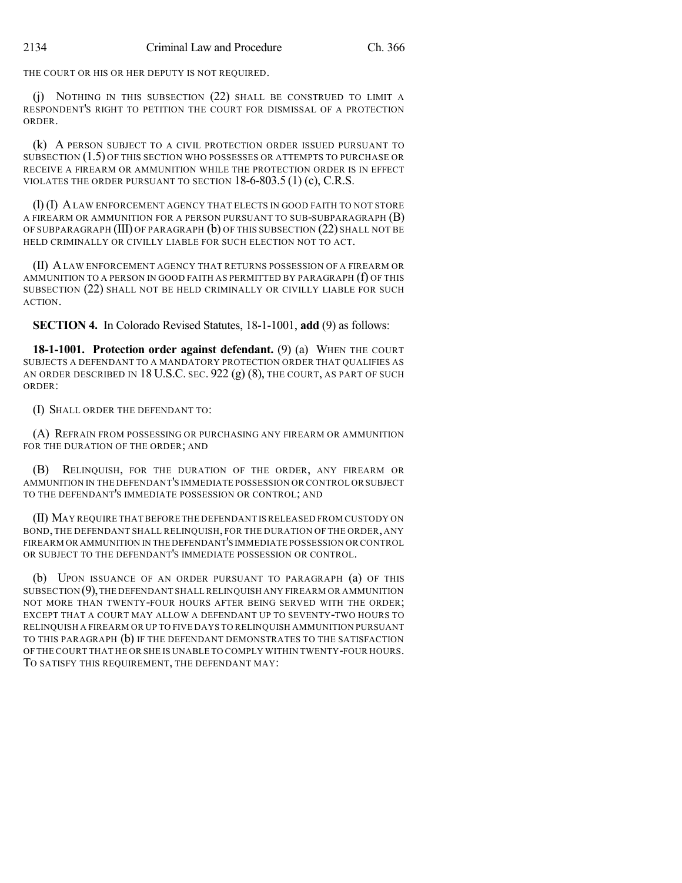THE COURT OR HIS OR HER DEPUTY IS NOT REQUIRED.

(j) NOTHING IN THIS SUBSECTION (22) SHALL BE CONSTRUED TO LIMIT A RESPONDENT'S RIGHT TO PETITION THE COURT FOR DISMISSAL OF A PROTECTION ORDER.

(k) A PERSON SUBJECT TO A CIVIL PROTECTION ORDER ISSUED PURSUANT TO SUBSECTION (1.5) OF THIS SECTION WHO POSSESSES OR ATTEMPTS TO PURCHASE OR RECEIVE A FIREARM OR AMMUNITION WHILE THE PROTECTION ORDER IS IN EFFECT VIOLATES THE ORDER PURSUANT TO SECTION 18-6-803.5 (1) (c), C.R.S.

(l) (I) ALAW ENFORCEMENT AGENCY THAT ELECTS IN GOOD FAITH TO NOT STORE A FIREARM OR AMMUNITION FOR A PERSON PURSUANT TO SUB-SUBPARAGRAPH  $(B)$ OF SUBPARAGRAPH (III) OF PARAGRAPH (b) OF THIS SUBSECTION (22) SHALL NOT BE HELD CRIMINALLY OR CIVILLY LIABLE FOR SUCH ELECTION NOT TO ACT.

(II) ALAW ENFORCEMENT AGENCY THAT RETURNS POSSESSION OF A FIREARM OR AMMUNITION TO A PERSON IN GOOD FAITH AS PERMITTED BY PARAGRAPH (f) OF THIS SUBSECTION (22) SHALL NOT BE HELD CRIMINALLY OR CIVILLY LIABLE FOR SUCH ACTION.

**SECTION 4.** In Colorado Revised Statutes, 18-1-1001, **add** (9) as follows:

**18-1-1001. Protection order against defendant.** (9) (a) WHEN THE COURT SUBJECTS A DEFENDANT TO A MANDATORY PROTECTION ORDER THAT QUALIFIES AS AN ORDER DESCRIBED IN 18 U.S.C. SEC.  $922$  (g) (8), the court, as part of such ORDER:

(I) SHALL ORDER THE DEFENDANT TO:

(A) REFRAIN FROM POSSESSING OR PURCHASING ANY FIREARM OR AMMUNITION FOR THE DURATION OF THE ORDER; AND

(B) RELINQUISH, FOR THE DURATION OF THE ORDER, ANY FIREARM OR AMMUNITION IN THE DEFENDANT'S IMMEDIATE POSSESSION OR CONTROL OR SUBJECT TO THE DEFENDANT'S IMMEDIATE POSSESSION OR CONTROL; AND

(II) MAY REQUIRE THAT BEFORE THE DEFENDANT IS RELEASED FROM CUSTODY ON BOND, THE DEFENDANT SHALL RELINQUISH, FOR THE DURATION OF THE ORDER, ANY FIREARM OR AMMUNITION IN THE DEFENDANT'S IMMEDIATE POSSESSION OR CONTROL OR SUBJECT TO THE DEFENDANT'S IMMEDIATE POSSESSION OR CONTROL.

(b) UPON ISSUANCE OF AN ORDER PURSUANT TO PARAGRAPH (a) OF THIS SUBSECTION  $(9)$ , THE DEFENDANT SHALL RELINQUISH ANY FIREARM OR AMMUNITION NOT MORE THAN TWENTY-FOUR HOURS AFTER BEING SERVED WITH THE ORDER; EXCEPT THAT A COURT MAY ALLOW A DEFENDANT UP TO SEVENTY-TWO HOURS TO RELINQUISH A FIREARM OR UP TO FIVE DAYS TO RELINQUISH AMMUNITION PURSUANT TO THIS PARAGRAPH (b) IF THE DEFENDANT DEMONSTRATES TO THE SATISFACTION OF THE COURT THAT HE OR SHE IS UNABLE TO COMPLY WITHIN TWENTY-FOUR HOURS. TO SATISFY THIS REQUIREMENT, THE DEFENDANT MAY: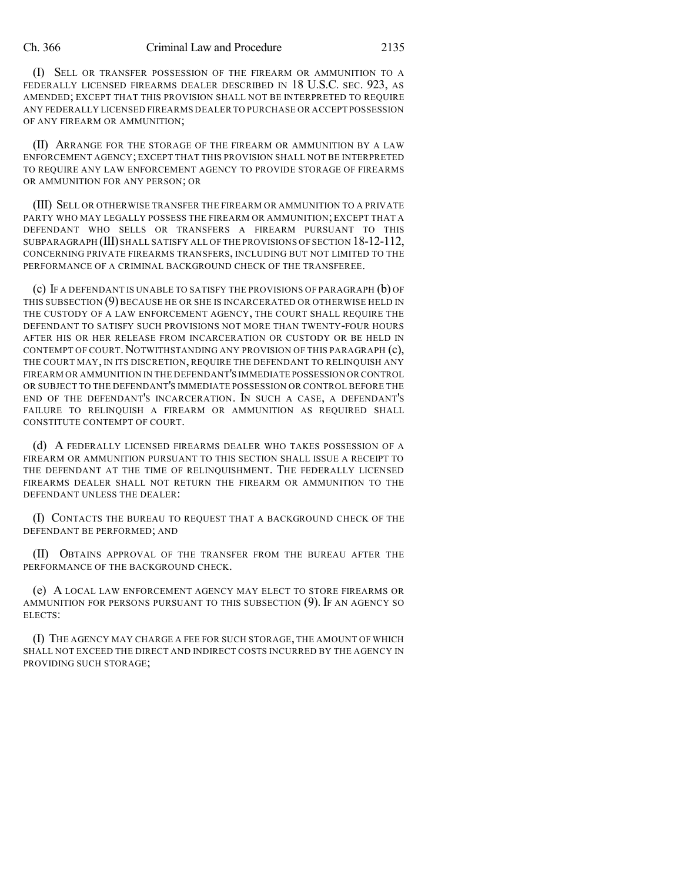#### Ch. 366 Criminal Law and Procedure 2135

(I) SELL OR TRANSFER POSSESSION OF THE FIREARM OR AMMUNITION TO A FEDERALLY LICENSED FIREARMS DEALER DESCRIBED IN 18 U.S.C. SEC. 923, AS AMENDED; EXCEPT THAT THIS PROVISION SHALL NOT BE INTERPRETED TO REQUIRE ANY FEDERALLY LICENSED FIREARMS DEALER TO PURCHASE OR ACCEPT POSSESSION OF ANY FIREARM OR AMMUNITION;

(II) ARRANGE FOR THE STORAGE OF THE FIREARM OR AMMUNITION BY A LAW ENFORCEMENT AGENCY; EXCEPT THAT THIS PROVISION SHALL NOT BE INTERPRETED TO REQUIRE ANY LAW ENFORCEMENT AGENCY TO PROVIDE STORAGE OF FIREARMS OR AMMUNITION FOR ANY PERSON; OR

(III) SELL OR OTHERWISE TRANSFER THE FIREARM OR AMMUNITION TO A PRIVATE PARTY WHO MAY LEGALLY POSSESS THE FIREARM OR AMMUNITION; EXCEPT THAT A DEFENDANT WHO SELLS OR TRANSFERS A FIREARM PURSUANT TO THIS SUBPARAGRAPH (III) SHALL SATISFY ALL OF THE PROVISIONS OF SECTION 18-12-112, CONCERNING PRIVATE FIREARMS TRANSFERS, INCLUDING BUT NOT LIMITED TO THE PERFORMANCE OF A CRIMINAL BACKGROUND CHECK OF THE TRANSFEREE.

(c) IF A DEFENDANT IS UNABLE TO SATISFY THE PROVISIONS OF PARAGRAPH (b) OF THIS SUBSECTION (9) BECAUSE HE OR SHE IS INCARCERATED OR OTHERWISE HELD IN THE CUSTODY OF A LAW ENFORCEMENT AGENCY, THE COURT SHALL REQUIRE THE DEFENDANT TO SATISFY SUCH PROVISIONS NOT MORE THAN TWENTY-FOUR HOURS AFTER HIS OR HER RELEASE FROM INCARCERATION OR CUSTODY OR BE HELD IN CONTEMPT OF COURT. NOTWITHSTANDING ANY PROVISION OF THIS PARAGRAPH (c), THE COURT MAY, IN ITS DISCRETION, REQUIRE THE DEFENDANT TO RELINQUISH ANY FIREARM OR AMMUNITION IN THE DEFENDANT'S IMMEDIATE POSSESSION OR CONTROL OR SUBJECT TO THE DEFENDANT'S IMMEDIATE POSSESSION OR CONTROL BEFORE THE END OF THE DEFENDANT'S INCARCERATION. IN SUCH A CASE, A DEFENDANT'S FAILURE TO RELINQUISH A FIREARM OR AMMUNITION AS REQUIRED SHALL CONSTITUTE CONTEMPT OF COURT.

(d) A FEDERALLY LICENSED FIREARMS DEALER WHO TAKES POSSESSION OF A FIREARM OR AMMUNITION PURSUANT TO THIS SECTION SHALL ISSUE A RECEIPT TO THE DEFENDANT AT THE TIME OF RELINQUISHMENT. THE FEDERALLY LICENSED FIREARMS DEALER SHALL NOT RETURN THE FIREARM OR AMMUNITION TO THE DEFENDANT UNLESS THE DEALER:

(I) CONTACTS THE BUREAU TO REQUEST THAT A BACKGROUND CHECK OF THE DEFENDANT BE PERFORMED; AND

(II) OBTAINS APPROVAL OF THE TRANSFER FROM THE BUREAU AFTER THE PERFORMANCE OF THE BACKGROUND CHECK.

(e) A LOCAL LAW ENFORCEMENT AGENCY MAY ELECT TO STORE FIREARMS OR AMMUNITION FOR PERSONS PURSUANT TO THIS SUBSECTION (9). IF AN AGENCY SO ELECTS:

(I) THE AGENCY MAY CHARGE A FEE FOR SUCH STORAGE, THE AMOUNT OF WHICH SHALL NOT EXCEED THE DIRECT AND INDIRECT COSTS INCURRED BY THE AGENCY IN PROVIDING SUCH STORAGE;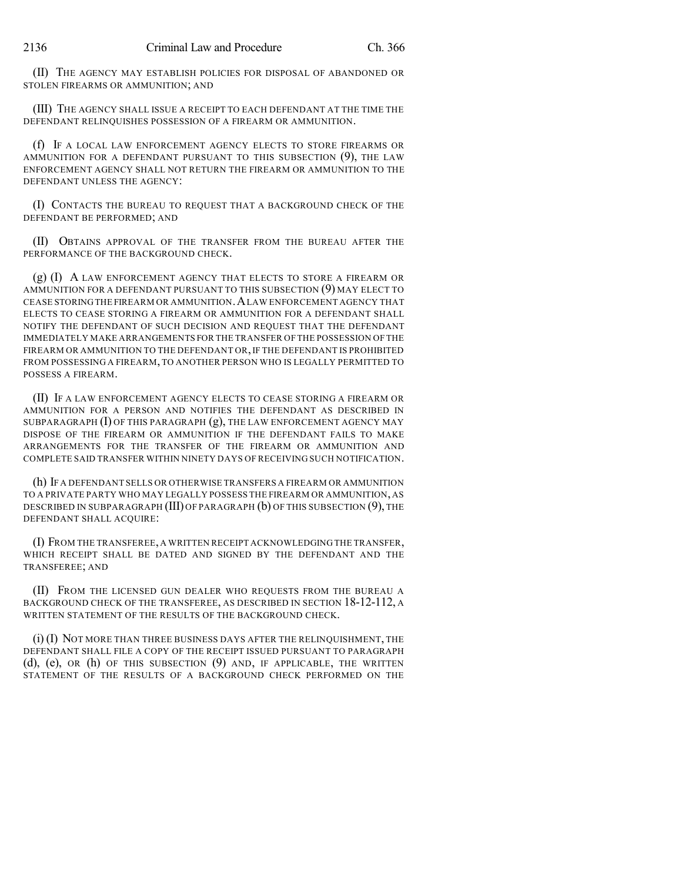(II) THE AGENCY MAY ESTABLISH POLICIES FOR DISPOSAL OF ABANDONED OR STOLEN FIREARMS OR AMMUNITION; AND

(III) THE AGENCY SHALL ISSUE A RECEIPT TO EACH DEFENDANT AT THE TIME THE DEFENDANT RELINQUISHES POSSESSION OF A FIREARM OR AMMUNITION.

(f) IF A LOCAL LAW ENFORCEMENT AGENCY ELECTS TO STORE FIREARMS OR AMMUNITION FOR A DEFENDANT PURSUANT TO THIS SUBSECTION (9), THE LAW ENFORCEMENT AGENCY SHALL NOT RETURN THE FIREARM OR AMMUNITION TO THE DEFENDANT UNLESS THE AGENCY:

(I) CONTACTS THE BUREAU TO REQUEST THAT A BACKGROUND CHECK OF THE DEFENDANT BE PERFORMED; AND

(II) OBTAINS APPROVAL OF THE TRANSFER FROM THE BUREAU AFTER THE PERFORMANCE OF THE BACKGROUND CHECK.

(g) (I) A LAW ENFORCEMENT AGENCY THAT ELECTS TO STORE A FIREARM OR AMMUNITION FOR A DEFENDANT PURSUANT TO THIS SUBSECTION (9) MAY ELECT TO CEASE STORINGTHE FIREARM OR AMMUNITION.ALAW ENFORCEMENT AGENCY THAT ELECTS TO CEASE STORING A FIREARM OR AMMUNITION FOR A DEFENDANT SHALL NOTIFY THE DEFENDANT OF SUCH DECISION AND REQUEST THAT THE DEFENDANT IMMEDIATELY MAKE ARRANGEMENTS FOR THE TRANSFER OF THE POSSESSION OF THE FIREARM OR AMMUNITION TO THE DEFENDANT OR,IF THE DEFENDANT IS PROHIBITED FROM POSSESSING A FIREARM, TO ANOTHER PERSON WHO IS LEGALLY PERMITTED TO POSSESS A FIREARM.

(II) IF A LAW ENFORCEMENT AGENCY ELECTS TO CEASE STORING A FIREARM OR AMMUNITION FOR A PERSON AND NOTIFIES THE DEFENDANT AS DESCRIBED IN SUBPARAGRAPH  $(I)$  OF THIS PARAGRAPH  $(g)$ , THE LAW ENFORCEMENT AGENCY MAY DISPOSE OF THE FIREARM OR AMMUNITION IF THE DEFENDANT FAILS TO MAKE ARRANGEMENTS FOR THE TRANSFER OF THE FIREARM OR AMMUNITION AND COMPLETE SAID TRANSFER WITHIN NINETY DAYS OF RECEIVING SUCH NOTIFICATION.

(h) IF A DEFENDANT SELLS OR OTHERWISE TRANSFERS A FIREARM OR AMMUNITION TO A PRIVATE PARTY WHO MAY LEGALLY POSSESS THE FIREARM OR AMMUNITION, AS DESCRIBED IN SUBPARAGRAPH (III) OF PARAGRAPH (b) OF THIS SUBSECTION (9), THE DEFENDANT SHALL ACQUIRE:

(I) FROM THE TRANSFEREE, A WRITTEN RECEIPT ACKNOWLEDGING THE TRANSFER, WHICH RECEIPT SHALL BE DATED AND SIGNED BY THE DEFENDANT AND THE TRANSFEREE; AND

(II) FROM THE LICENSED GUN DEALER WHO REQUESTS FROM THE BUREAU A BACKGROUND CHECK OF THE TRANSFEREE, AS DESCRIBED IN SECTION 18-12-112, A WRITTEN STATEMENT OF THE RESULTS OF THE BACKGROUND CHECK.

(i) (I) NOT MORE THAN THREE BUSINESS DAYS AFTER THE RELINQUISHMENT, THE DEFENDANT SHALL FILE A COPY OF THE RECEIPT ISSUED PURSUANT TO PARAGRAPH (d), (e), OR (h) OF THIS SUBSECTION (9) AND, IF APPLICABLE, THE WRITTEN STATEMENT OF THE RESULTS OF A BACKGROUND CHECK PERFORMED ON THE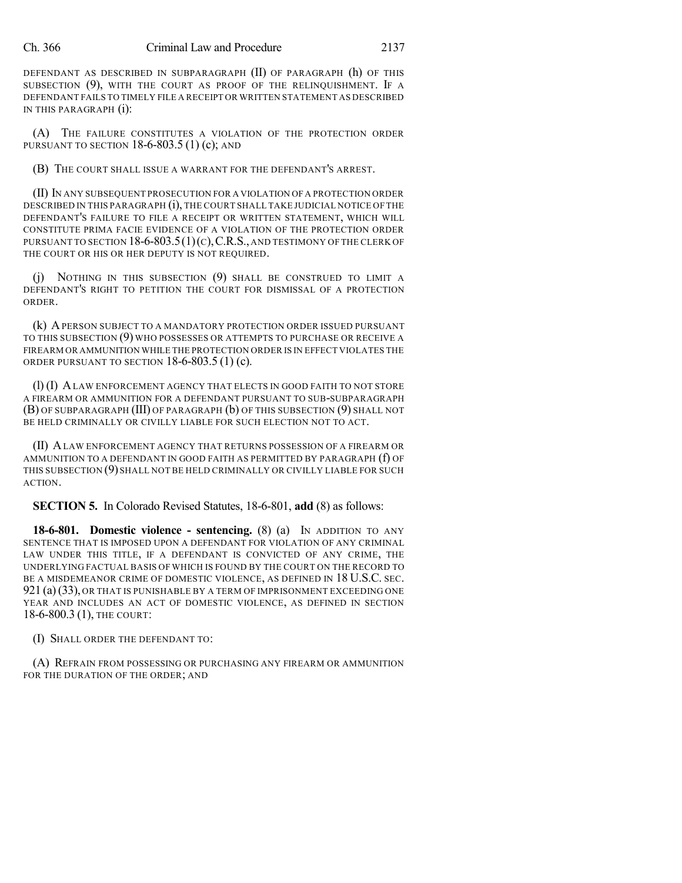### Ch. 366 Criminal Law and Procedure 2137

DEFENDANT AS DESCRIBED IN SUBPARAGRAPH (II) OF PARAGRAPH (h) OF THIS SUBSECTION (9), WITH THE COURT AS PROOF OF THE RELINQUISHMENT. IF A DEFENDANT FAILS TO TIMELY FILE A RECEIPT OR WRITTEN STATEMENT AS DESCRIBED IN THIS PARAGRAPH (i):

(A) THE FAILURE CONSTITUTES A VIOLATION OF THE PROTECTION ORDER PURSUANT TO SECTION  $18-6-803.5(1)(c)$ ; AND

(B) THE COURT SHALL ISSUE A WARRANT FOR THE DEFENDANT'S ARREST.

(II) IN ANY SUBSEQUENT PROSECUTION FOR A VIOLATION OF A PROTECTION ORDER DESCRIBED IN THIS PARAGRAPH (i), THE COURT SHALL TAKE JUDICIAL NOTICE OF THE DEFENDANT'S FAILURE TO FILE A RECEIPT OR WRITTEN STATEMENT, WHICH WILL CONSTITUTE PRIMA FACIE EVIDENCE OF A VIOLATION OF THE PROTECTION ORDER PURSUANT TO SECTION  $18-6-803.5(1)(c)$ , C.R.S., AND TESTIMONY OF THE CLERK OF THE COURT OR HIS OR HER DEPUTY IS NOT REQUIRED.

(j) NOTHING IN THIS SUBSECTION (9) SHALL BE CONSTRUED TO LIMIT A DEFENDANT'S RIGHT TO PETITION THE COURT FOR DISMISSAL OF A PROTECTION ORDER.

(k) APERSON SUBJECT TO A MANDATORY PROTECTION ORDER ISSUED PURSUANT TO THIS SUBSECTION (9) WHO POSSESSES OR ATTEMPTS TO PURCHASE OR RECEIVE A FIREARM OR AMMUNITION WHILE THE PROTECTION ORDER IS IN EFFECT VIOLATES THE ORDER PURSUANT TO SECTION 18-6-803.5 (1) (c).

(l) (I) ALAW ENFORCEMENT AGENCY THAT ELECTS IN GOOD FAITH TO NOT STORE A FIREARM OR AMMUNITION FOR A DEFENDANT PURSUANT TO SUB-SUBPARAGRAPH (B) OF SUBPARAGRAPH (III) OF PARAGRAPH (b) OF THIS SUBSECTION (9) SHALL NOT BE HELD CRIMINALLY OR CIVILLY LIABLE FOR SUCH ELECTION NOT TO ACT.

(II) ALAW ENFORCEMENT AGENCY THAT RETURNS POSSESSION OF A FIREARM OR AMMUNITION TO A DEFENDANT IN GOOD FAITH AS PERMITTED BY PARAGRAPH (f) OF THIS SUBSECTION (9) SHALL NOT BE HELD CRIMINALLY OR CIVILLY LIABLE FOR SUCH ACTION.

**SECTION 5.** In Colorado Revised Statutes, 18-6-801, **add** (8) as follows:

**18-6-801. Domestic violence - sentencing.** (8) (a) IN ADDITION TO ANY SENTENCE THAT IS IMPOSED UPON A DEFENDANT FOR VIOLATION OF ANY CRIMINAL LAW UNDER THIS TITLE, IF A DEFENDANT IS CONVICTED OF ANY CRIME, THE UNDERLYING FACTUAL BASIS OF WHICH IS FOUND BY THE COURT ON THE RECORD TO BE A MISDEMEANOR CRIME OF DOMESTIC VIOLENCE, AS DEFINED IN 18 U.S.C. SEC. 921 (a)(33), OR THAT IS PUNISHABLE BY A TERM OF IMPRISONMENT EXCEEDING ONE YEAR AND INCLUDES AN ACT OF DOMESTIC VIOLENCE, AS DEFINED IN SECTION 18-6-800.3 (1), THE COURT:

(I) SHALL ORDER THE DEFENDANT TO:

(A) REFRAIN FROM POSSESSING OR PURCHASING ANY FIREARM OR AMMUNITION FOR THE DURATION OF THE ORDER; AND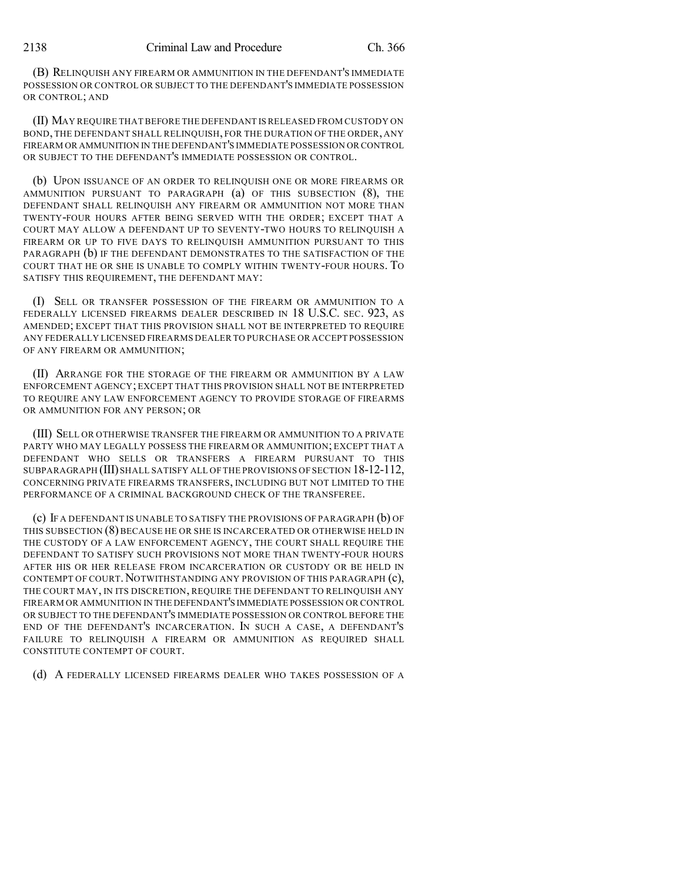(B) RELINQUISH ANY FIREARM OR AMMUNITION IN THE DEFENDANT'S IMMEDIATE POSSESSION OR CONTROL OR SUBJECT TO THE DEFENDANT'S IMMEDIATE POSSESSION OR CONTROL; AND

(II) MAY REQUIRE THAT BEFORE THE DEFENDANT IS RELEASED FROM CUSTODY ON BOND, THE DEFENDANT SHALL RELINQUISH, FOR THE DURATION OF THE ORDER, ANY FIREARM OR AMMUNITION IN THE DEFENDANT'S IMMEDIATE POSSESSION OR CONTROL OR SUBJECT TO THE DEFENDANT'S IMMEDIATE POSSESSION OR CONTROL.

(b) UPON ISSUANCE OF AN ORDER TO RELINQUISH ONE OR MORE FIREARMS OR AMMUNITION PURSUANT TO PARAGRAPH (a) OF THIS SUBSECTION (8), THE DEFENDANT SHALL RELINQUISH ANY FIREARM OR AMMUNITION NOT MORE THAN TWENTY-FOUR HOURS AFTER BEING SERVED WITH THE ORDER; EXCEPT THAT A COURT MAY ALLOW A DEFENDANT UP TO SEVENTY-TWO HOURS TO RELINQUISH A FIREARM OR UP TO FIVE DAYS TO RELINQUISH AMMUNITION PURSUANT TO THIS PARAGRAPH (b) IF THE DEFENDANT DEMONSTRATES TO THE SATISFACTION OF THE COURT THAT HE OR SHE IS UNABLE TO COMPLY WITHIN TWENTY-FOUR HOURS. TO SATISFY THIS REQUIREMENT, THE DEFENDANT MAY:

(I) SELL OR TRANSFER POSSESSION OF THE FIREARM OR AMMUNITION TO A FEDERALLY LICENSED FIREARMS DEALER DESCRIBED IN 18 U.S.C. SEC. 923, AS AMENDED; EXCEPT THAT THIS PROVISION SHALL NOT BE INTERPRETED TO REQUIRE ANY FEDERALLY LICENSED FIREARMS DEALER TO PURCHASE OR ACCEPT POSSESSION OF ANY FIREARM OR AMMUNITION;

(II) ARRANGE FOR THE STORAGE OF THE FIREARM OR AMMUNITION BY A LAW ENFORCEMENT AGENCY; EXCEPT THAT THIS PROVISION SHALL NOT BE INTERPRETED TO REQUIRE ANY LAW ENFORCEMENT AGENCY TO PROVIDE STORAGE OF FIREARMS OR AMMUNITION FOR ANY PERSON; OR

(III) SELL OR OTHERWISE TRANSFER THE FIREARM OR AMMUNITION TO A PRIVATE PARTY WHO MAY LEGALLY POSSESS THE FIREARM OR AMMUNITION; EXCEPT THAT A DEFENDANT WHO SELLS OR TRANSFERS A FIREARM PURSUANT TO THIS SUBPARAGRAPH (III) SHALL SATISFY ALL OF THE PROVISIONS OF SECTION 18-12-112, CONCERNING PRIVATE FIREARMS TRANSFERS, INCLUDING BUT NOT LIMITED TO THE PERFORMANCE OF A CRIMINAL BACKGROUND CHECK OF THE TRANSFEREE.

(c) IF A DEFENDANT IS UNABLE TO SATISFY THE PROVISIONS OF PARAGRAPH (b) OF THIS SUBSECTION (8) BECAUSE HE OR SHE IS INCARCERATED OR OTHERWISE HELD IN THE CUSTODY OF A LAW ENFORCEMENT AGENCY, THE COURT SHALL REQUIRE THE DEFENDANT TO SATISFY SUCH PROVISIONS NOT MORE THAN TWENTY-FOUR HOURS AFTER HIS OR HER RELEASE FROM INCARCERATION OR CUSTODY OR BE HELD IN CONTEMPT OF COURT. NOTWITHSTANDING ANY PROVISION OF THIS PARAGRAPH (c), THE COURT MAY, IN ITS DISCRETION, REQUIRE THE DEFENDANT TO RELINQUISH ANY FIREARM OR AMMUNITION IN THE DEFENDANT'S IMMEDIATE POSSESSION OR CONTROL OR SUBJECT TO THE DEFENDANT'S IMMEDIATE POSSESSION OR CONTROL BEFORE THE END OF THE DEFENDANT'S INCARCERATION. IN SUCH A CASE, A DEFENDANT'S FAILURE TO RELINQUISH A FIREARM OR AMMUNITION AS REQUIRED SHALL CONSTITUTE CONTEMPT OF COURT.

(d) A FEDERALLY LICENSED FIREARMS DEALER WHO TAKES POSSESSION OF A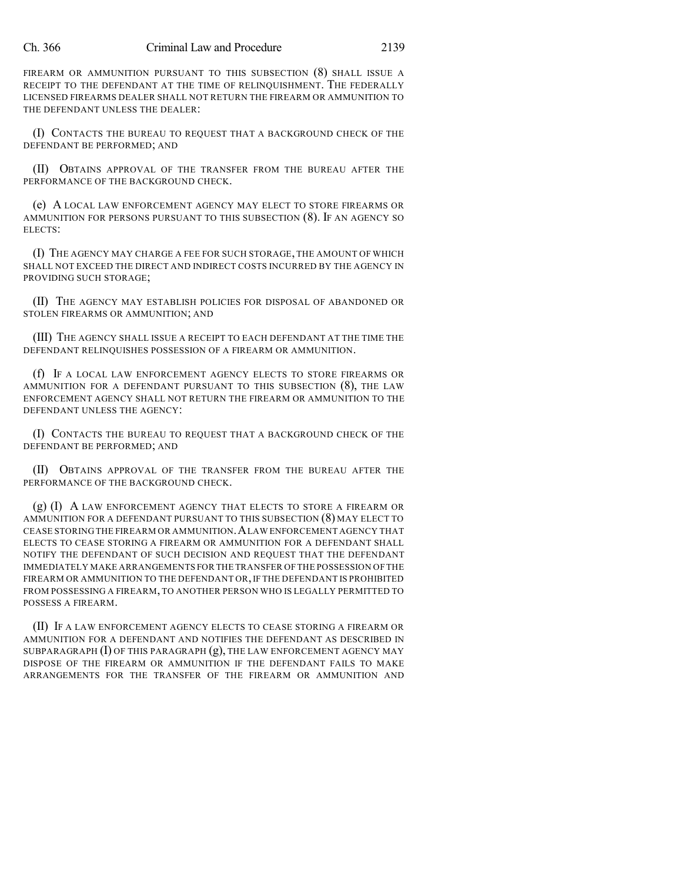FIREARM OR AMMUNITION PURSUANT TO THIS SUBSECTION (8) SHALL ISSUE A RECEIPT TO THE DEFENDANT AT THE TIME OF RELINQUISHMENT. THE FEDERALLY LICENSED FIREARMS DEALER SHALL NOT RETURN THE FIREARM OR AMMUNITION TO THE DEFENDANT UNLESS THE DEALER:

(I) CONTACTS THE BUREAU TO REQUEST THAT A BACKGROUND CHECK OF THE DEFENDANT BE PERFORMED; AND

(II) OBTAINS APPROVAL OF THE TRANSFER FROM THE BUREAU AFTER THE PERFORMANCE OF THE BACKGROUND CHECK.

(e) A LOCAL LAW ENFORCEMENT AGENCY MAY ELECT TO STORE FIREARMS OR AMMUNITION FOR PERSONS PURSUANT TO THIS SUBSECTION (8). IF AN AGENCY SO ELECTS:

(I) THE AGENCY MAY CHARGE A FEE FOR SUCH STORAGE, THE AMOUNT OF WHICH SHALL NOT EXCEED THE DIRECT AND INDIRECT COSTS INCURRED BY THE AGENCY IN PROVIDING SUCH STORAGE;

(II) THE AGENCY MAY ESTABLISH POLICIES FOR DISPOSAL OF ABANDONED OR STOLEN FIREARMS OR AMMUNITION; AND

(III) THE AGENCY SHALL ISSUE A RECEIPT TO EACH DEFENDANT AT THE TIME THE DEFENDANT RELINQUISHES POSSESSION OF A FIREARM OR AMMUNITION.

(f) IF A LOCAL LAW ENFORCEMENT AGENCY ELECTS TO STORE FIREARMS OR AMMUNITION FOR A DEFENDANT PURSUANT TO THIS SUBSECTION (8), THE LAW ENFORCEMENT AGENCY SHALL NOT RETURN THE FIREARM OR AMMUNITION TO THE DEFENDANT UNLESS THE AGENCY:

(I) CONTACTS THE BUREAU TO REQUEST THAT A BACKGROUND CHECK OF THE DEFENDANT BE PERFORMED; AND

(II) OBTAINS APPROVAL OF THE TRANSFER FROM THE BUREAU AFTER THE PERFORMANCE OF THE BACKGROUND CHECK.

 $(g)$  (I) A LAW ENFORCEMENT AGENCY THAT ELECTS TO STORE A FIREARM OR AMMUNITION FOR A DEFENDANT PURSUANT TO THIS SUBSECTION (8) MAY ELECT TO CEASE STORING THE FIREARM OR AMMUNITION.ALAW ENFORCEMENT AGENCY THAT ELECTS TO CEASE STORING A FIREARM OR AMMUNITION FOR A DEFENDANT SHALL NOTIFY THE DEFENDANT OF SUCH DECISION AND REQUEST THAT THE DEFENDANT IMMEDIATELY MAKE ARRANGEMENTS FOR THE TRANSFER OF THE POSSESSION OF THE FIREARM OR AMMUNITION TO THE DEFENDANT OR,IF THE DEFENDANT IS PROHIBITED FROM POSSESSING A FIREARM, TO ANOTHER PERSON WHO IS LEGALLY PERMITTED TO POSSESS A FIREARM.

(II) IF A LAW ENFORCEMENT AGENCY ELECTS TO CEASE STORING A FIREARM OR AMMUNITION FOR A DEFENDANT AND NOTIFIES THE DEFENDANT AS DESCRIBED IN SUBPARAGRAPH  $(I)$  OF THIS PARAGRAPH  $(g)$ , THE LAW ENFORCEMENT AGENCY MAY DISPOSE OF THE FIREARM OR AMMUNITION IF THE DEFENDANT FAILS TO MAKE ARRANGEMENTS FOR THE TRANSFER OF THE FIREARM OR AMMUNITION AND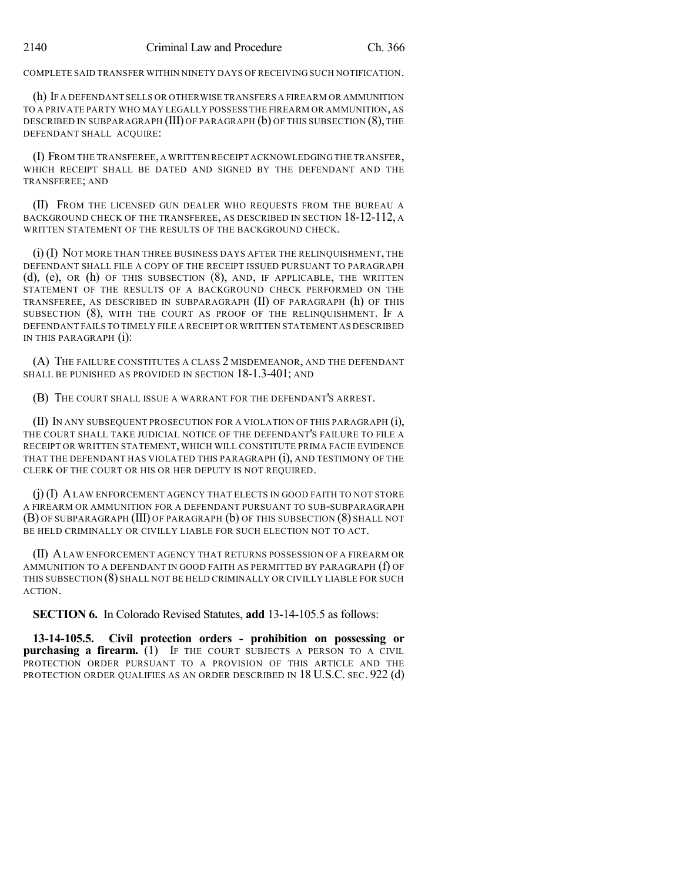COMPLETE SAID TRANSFER WITHIN NINETY DAYS OF RECEIVING SUCH NOTIFICATION.

(h) IF A DEFENDANT SELLS OR OTHERWISE TRANSFERS A FIREARM OR AMMUNITION TO A PRIVATE PARTY WHO MAY LEGALLY POSSESS THE FIREARM OR AMMUNITION, AS DESCRIBED IN SUBPARAGRAPH (III) OF PARAGRAPH (b) OF THIS SUBSECTION (8), THE DEFENDANT SHALL ACQUIRE:

(I) FROM THE TRANSFEREE, A WRITTEN RECEIPT ACKNOWLEDGING THE TRANSFER, WHICH RECEIPT SHALL BE DATED AND SIGNED BY THE DEFENDANT AND THE TRANSFEREE; AND

(II) FROM THE LICENSED GUN DEALER WHO REQUESTS FROM THE BUREAU A BACKGROUND CHECK OF THE TRANSFEREE, AS DESCRIBED IN SECTION 18-12-112, A WRITTEN STATEMENT OF THE RESULTS OF THE BACKGROUND CHECK.

(i) (I) NOT MORE THAN THREE BUSINESS DAYS AFTER THE RELINQUISHMENT, THE DEFENDANT SHALL FILE A COPY OF THE RECEIPT ISSUED PURSUANT TO PARAGRAPH (d), (e), OR (h) OF THIS SUBSECTION (8), AND, IF APPLICABLE, THE WRITTEN STATEMENT OF THE RESULTS OF A BACKGROUND CHECK PERFORMED ON THE TRANSFEREE, AS DESCRIBED IN SUBPARAGRAPH (II) OF PARAGRAPH (h) OF THIS SUBSECTION (8), WITH THE COURT AS PROOF OF THE RELINQUISHMENT. IF A DEFENDANT FAILS TO TIMELY FILE A RECEIPT OR WRITTEN STATEMENT AS DESCRIBED IN THIS PARAGRAPH (i):

(A) THE FAILURE CONSTITUTES A CLASS 2 MISDEMEANOR, AND THE DEFENDANT SHALL BE PUNISHED AS PROVIDED IN SECTION 18-1.3-401; AND

(B) THE COURT SHALL ISSUE A WARRANT FOR THE DEFENDANT'S ARREST.

(II) IN ANY SUBSEQUENT PROSECUTION FOR A VIOLATION OF THIS PARAGRAPH (i), THE COURT SHALL TAKE JUDICIAL NOTICE OF THE DEFENDANT'S FAILURE TO FILE A RECEIPT OR WRITTEN STATEMENT, WHICH WILL CONSTITUTE PRIMA FACIE EVIDENCE THAT THE DEFENDANT HAS VIOLATED THIS PARAGRAPH (i), AND TESTIMONY OF THE CLERK OF THE COURT OR HIS OR HER DEPUTY IS NOT REQUIRED.

(j) (I) ALAW ENFORCEMENT AGENCY THAT ELECTS IN GOOD FAITH TO NOT STORE A FIREARM OR AMMUNITION FOR A DEFENDANT PURSUANT TO SUB-SUBPARAGRAPH (B) OF SUBPARAGRAPH (III) OF PARAGRAPH (b) OF THIS SUBSECTION (8) SHALL NOT BE HELD CRIMINALLY OR CIVILLY LIABLE FOR SUCH ELECTION NOT TO ACT.

(II) ALAW ENFORCEMENT AGENCY THAT RETURNS POSSESSION OF A FIREARM OR AMMUNITION TO A DEFENDANT IN GOOD FAITH AS PERMITTED BY PARAGRAPH (f) OF THIS SUBSECTION (8) SHALL NOT BE HELD CRIMINALLY OR CIVILLY LIABLE FOR SUCH ACTION.

**SECTION 6.** In Colorado Revised Statutes, **add** 13-14-105.5 as follows:

**13-14-105.5. Civil protection orders - prohibition on possessing or purchasing a firearm.** (1) IF THE COURT SUBJECTS A PERSON TO A CIVIL PROTECTION ORDER PURSUANT TO A PROVISION OF THIS ARTICLE AND THE PROTECTION ORDER QUALIFIES AS AN ORDER DESCRIBED IN 18 U.S.C. SEC. 922 (d)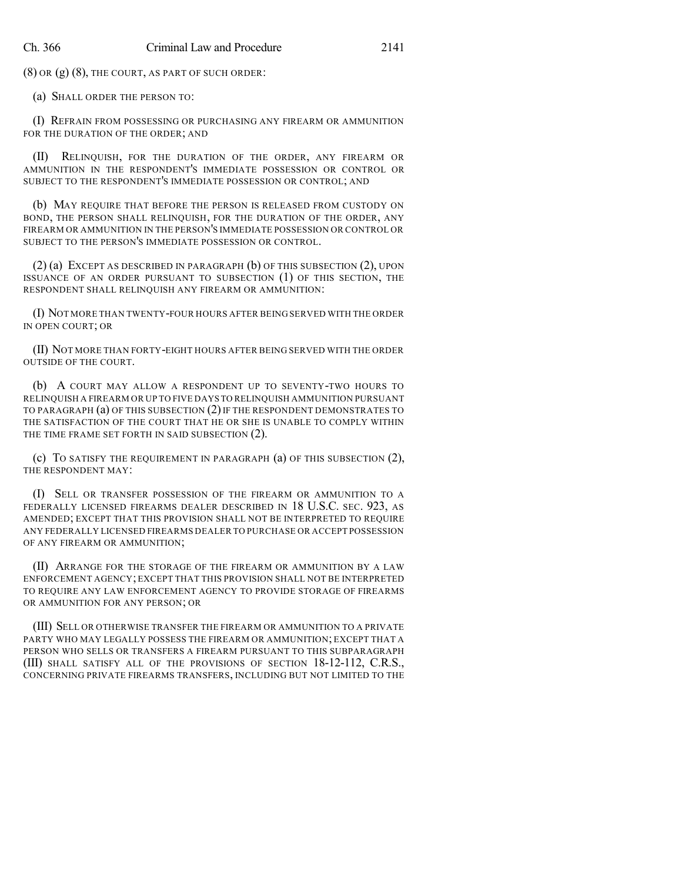(8) OR (g) (8), THE COURT, AS PART OF SUCH ORDER:

(a) SHALL ORDER THE PERSON TO:

(I) REFRAIN FROM POSSESSING OR PURCHASING ANY FIREARM OR AMMUNITION FOR THE DURATION OF THE ORDER; AND

(II) RELINQUISH, FOR THE DURATION OF THE ORDER, ANY FIREARM OR AMMUNITION IN THE RESPONDENT'S IMMEDIATE POSSESSION OR CONTROL OR SUBJECT TO THE RESPONDENT'S IMMEDIATE POSSESSION OR CONTROL; AND

(b) MAY REQUIRE THAT BEFORE THE PERSON IS RELEASED FROM CUSTODY ON BOND, THE PERSON SHALL RELINQUISH, FOR THE DURATION OF THE ORDER, ANY FIREARM OR AMMUNITION IN THE PERSON'S IMMEDIATE POSSESSION OR CONTROL OR SUBJECT TO THE PERSON'S IMMEDIATE POSSESSION OR CONTROL.

(2) (a) EXCEPT AS DESCRIBED IN PARAGRAPH (b) OF THIS SUBSECTION (2), UPON ISSUANCE OF AN ORDER PURSUANT TO SUBSECTION (1) OF THIS SECTION, THE RESPONDENT SHALL RELINQUISH ANY FIREARM OR AMMUNITION:

(I) NOT MORE THAN TWENTY-FOUR HOURS AFTER BEING SERVED WITH THE ORDER IN OPEN COURT; OR

(II) NOT MORE THAN FORTY-EIGHT HOURS AFTER BEING SERVED WITH THE ORDER OUTSIDE OF THE COURT.

(b) A COURT MAY ALLOW A RESPONDENT UP TO SEVENTY-TWO HOURS TO RELINQUISH A FIREARM OR UP TO FIVE DAYS TO RELINQUISH AMMUNITION PURSUANT TO PARAGRAPH (a) OF THIS SUBSECTION (2) IF THE RESPONDENT DEMONSTRATES TO THE SATISFACTION OF THE COURT THAT HE OR SHE IS UNABLE TO COMPLY WITHIN THE TIME FRAME SET FORTH IN SAID SUBSECTION (2).

(c) TO SATISFY THE REQUIREMENT IN PARAGRAPH (a) OF THIS SUBSECTION (2), THE RESPONDENT MAY:

(I) SELL OR TRANSFER POSSESSION OF THE FIREARM OR AMMUNITION TO A FEDERALLY LICENSED FIREARMS DEALER DESCRIBED IN 18 U.S.C. SEC. 923, AS AMENDED; EXCEPT THAT THIS PROVISION SHALL NOT BE INTERPRETED TO REQUIRE ANY FEDERALLY LICENSED FIREARMS DEALER TO PURCHASE OR ACCEPT POSSESSION OF ANY FIREARM OR AMMUNITION;

(II) ARRANGE FOR THE STORAGE OF THE FIREARM OR AMMUNITION BY A LAW ENFORCEMENT AGENCY; EXCEPT THAT THIS PROVISION SHALL NOT BE INTERPRETED TO REQUIRE ANY LAW ENFORCEMENT AGENCY TO PROVIDE STORAGE OF FIREARMS OR AMMUNITION FOR ANY PERSON; OR

(III) SELL OR OTHERWISE TRANSFER THE FIREARM OR AMMUNITION TO A PRIVATE PARTY WHO MAY LEGALLY POSSESS THE FIREARM OR AMMUNITION; EXCEPT THAT A PERSON WHO SELLS OR TRANSFERS A FIREARM PURSUANT TO THIS SUBPARAGRAPH (III) SHALL SATISFY ALL OF THE PROVISIONS OF SECTION 18-12-112, C.R.S., CONCERNING PRIVATE FIREARMS TRANSFERS, INCLUDING BUT NOT LIMITED TO THE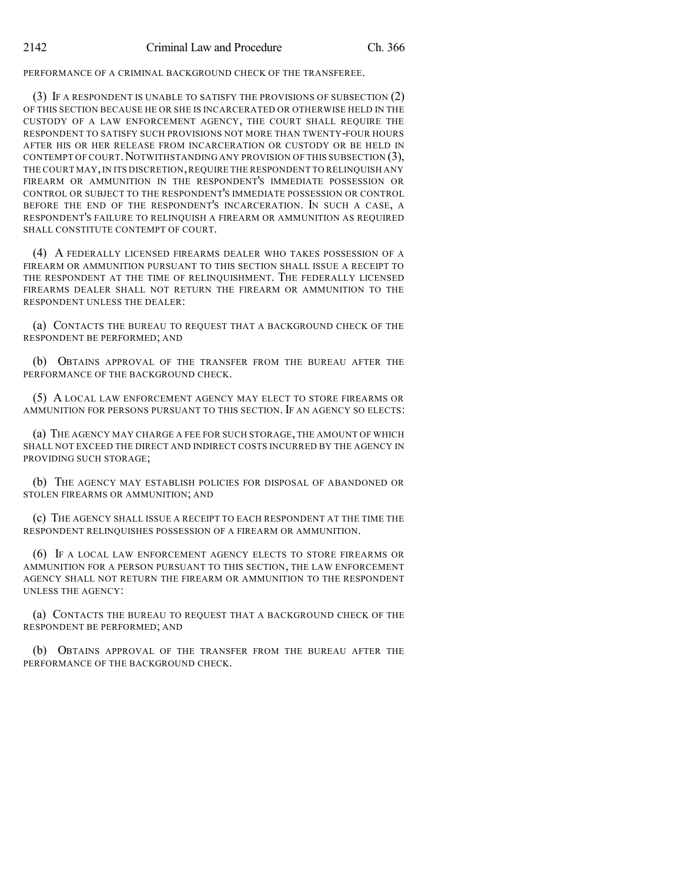PERFORMANCE OF A CRIMINAL BACKGROUND CHECK OF THE TRANSFEREE.

(3) IF A RESPONDENT IS UNABLE TO SATISFY THE PROVISIONS OF SUBSECTION (2) OF THIS SECTION BECAUSE HE OR SHE IS INCARCERATED OR OTHERWISE HELD IN THE CUSTODY OF A LAW ENFORCEMENT AGENCY, THE COURT SHALL REQUIRE THE RESPONDENT TO SATISFY SUCH PROVISIONS NOT MORE THAN TWENTY-FOUR HOURS AFTER HIS OR HER RELEASE FROM INCARCERATION OR CUSTODY OR BE HELD IN CONTEMPT OF COURT. NOTWITHSTANDING ANY PROVISION OF THIS SUBSECTION  $(3)$ , THE COURT MAY, IN ITS DISCRETION, REQUIRE THE RESPONDENT TO RELINQUISH ANY FIREARM OR AMMUNITION IN THE RESPONDENT'S IMMEDIATE POSSESSION OR CONTROL OR SUBJECT TO THE RESPONDENT'S IMMEDIATE POSSESSION OR CONTROL BEFORE THE END OF THE RESPONDENT'S INCARCERATION. IN SUCH A CASE, A RESPONDENT'S FAILURE TO RELINQUISH A FIREARM OR AMMUNITION AS REQUIRED SHALL CONSTITUTE CONTEMPT OF COURT.

(4) A FEDERALLY LICENSED FIREARMS DEALER WHO TAKES POSSESSION OF A FIREARM OR AMMUNITION PURSUANT TO THIS SECTION SHALL ISSUE A RECEIPT TO THE RESPONDENT AT THE TIME OF RELINQUISHMENT. THE FEDERALLY LICENSED FIREARMS DEALER SHALL NOT RETURN THE FIREARM OR AMMUNITION TO THE RESPONDENT UNLESS THE DEALER:

(a) CONTACTS THE BUREAU TO REQUEST THAT A BACKGROUND CHECK OF THE RESPONDENT BE PERFORMED; AND

(b) OBTAINS APPROVAL OF THE TRANSFER FROM THE BUREAU AFTER THE PERFORMANCE OF THE BACKGROUND CHECK.

(5) A LOCAL LAW ENFORCEMENT AGENCY MAY ELECT TO STORE FIREARMS OR AMMUNITION FOR PERSONS PURSUANT TO THIS SECTION. IF AN AGENCY SO ELECTS:

(a) THE AGENCY MAY CHARGE A FEE FOR SUCH STORAGE, THE AMOUNT OF WHICH SHALL NOT EXCEED THE DIRECT AND INDIRECT COSTS INCURRED BY THE AGENCY IN PROVIDING SUCH STORAGE;

(b) THE AGENCY MAY ESTABLISH POLICIES FOR DISPOSAL OF ABANDONED OR STOLEN FIREARMS OR AMMUNITION; AND

(c) THE AGENCY SHALL ISSUE A RECEIPT TO EACH RESPONDENT AT THE TIME THE RESPONDENT RELINQUISHES POSSESSION OF A FIREARM OR AMMUNITION.

(6) IF A LOCAL LAW ENFORCEMENT AGENCY ELECTS TO STORE FIREARMS OR AMMUNITION FOR A PERSON PURSUANT TO THIS SECTION, THE LAW ENFORCEMENT AGENCY SHALL NOT RETURN THE FIREARM OR AMMUNITION TO THE RESPONDENT UNLESS THE AGENCY:

(a) CONTACTS THE BUREAU TO REQUEST THAT A BACKGROUND CHECK OF THE RESPONDENT BE PERFORMED; AND

(b) OBTAINS APPROVAL OF THE TRANSFER FROM THE BUREAU AFTER THE PERFORMANCE OF THE BACKGROUND CHECK.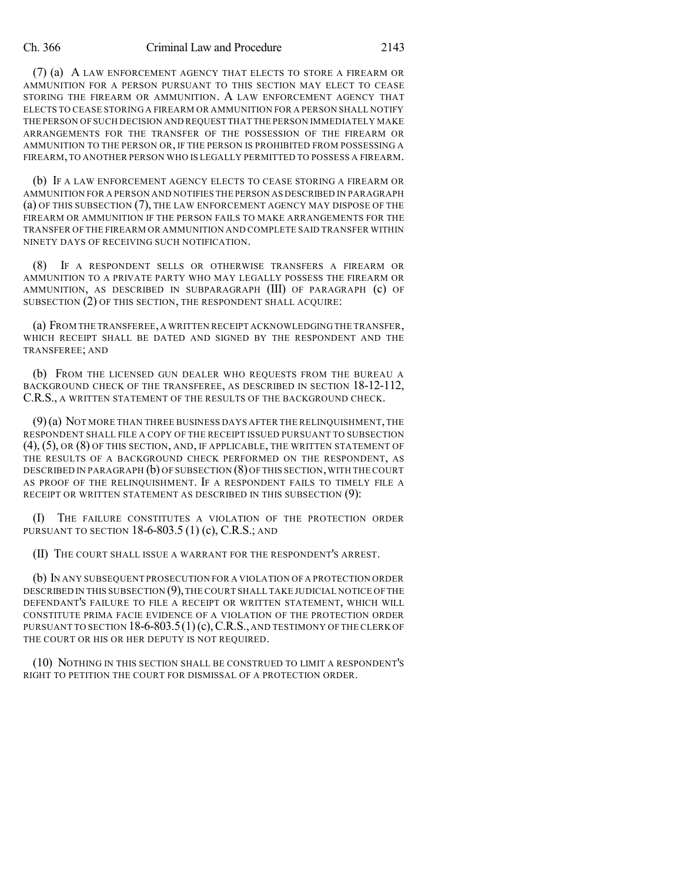(7) (a) A LAW ENFORCEMENT AGENCY THAT ELECTS TO STORE A FIREARM OR AMMUNITION FOR A PERSON PURSUANT TO THIS SECTION MAY ELECT TO CEASE STORING THE FIREARM OR AMMUNITION. A LAW ENFORCEMENT AGENCY THAT ELECTS TO CEASE STORING A FIREARM OR AMMUNITION FOR A PERSON SHALL NOTIFY THE PERSON OF SUCH DECISION AND REQUEST THAT THE PERSON IMMEDIATELY MAKE ARRANGEMENTS FOR THE TRANSFER OF THE POSSESSION OF THE FIREARM OR AMMUNITION TO THE PERSON OR, IF THE PERSON IS PROHIBITED FROM POSSESSING A FIREARM,TO ANOTHER PERSON WHO IS LEGALLY PERMITTED TO POSSESS A FIREARM.

(b) IF A LAW ENFORCEMENT AGENCY ELECTS TO CEASE STORING A FIREARM OR AMMUNITION FOR A PERSON AND NOTIFIES THE PERSON AS DESCRIBED IN PARAGRAPH (a) OF THIS SUBSECTION (7), THE LAW ENFORCEMENT AGENCY MAY DISPOSE OF THE FIREARM OR AMMUNITION IF THE PERSON FAILS TO MAKE ARRANGEMENTS FOR THE TRANSFER OF THE FIREARM OR AMMUNITION AND COMPLETE SAID TRANSFER WITHIN NINETY DAYS OF RECEIVING SUCH NOTIFICATION.

(8) IF A RESPONDENT SELLS OR OTHERWISE TRANSFERS A FIREARM OR AMMUNITION TO A PRIVATE PARTY WHO MAY LEGALLY POSSESS THE FIREARM OR AMMUNITION, AS DESCRIBED IN SUBPARAGRAPH (III) OF PARAGRAPH (c) OF SUBSECTION (2) OF THIS SECTION, THE RESPONDENT SHALL ACQUIRE:

(a) FROM THE TRANSFEREE,A WRITTEN RECEIPT ACKNOWLEDGING THE TRANSFER, WHICH RECEIPT SHALL BE DATED AND SIGNED BY THE RESPONDENT AND THE TRANSFEREE; AND

(b) FROM THE LICENSED GUN DEALER WHO REQUESTS FROM THE BUREAU A BACKGROUND CHECK OF THE TRANSFEREE, AS DESCRIBED IN SECTION 18-12-112, C.R.S., A WRITTEN STATEMENT OF THE RESULTS OF THE BACKGROUND CHECK.

(9)(a) NOT MORE THAN THREE BUSINESS DAYS AFTER THE RELINQUISHMENT,THE RESPONDENT SHALL FILE A COPY OF THE RECEIPT ISSUED PURSUANT TO SUBSECTION (4), (5), OR (8) OF THIS SECTION, AND, IF APPLICABLE, THE WRITTEN STATEMENT OF THE RESULTS OF A BACKGROUND CHECK PERFORMED ON THE RESPONDENT, AS DESCRIBED IN PARAGRAPH (b) OF SUBSECTION (8)OF THIS SECTION,WITH THE COURT AS PROOF OF THE RELINQUISHMENT. IF A RESPONDENT FAILS TO TIMELY FILE A RECEIPT OR WRITTEN STATEMENT AS DESCRIBED IN THIS SUBSECTION (9):

(I) THE FAILURE CONSTITUTES A VIOLATION OF THE PROTECTION ORDER PURSUANT TO SECTION  $18-6-803.5$  (1) (c), C.R.S.; AND

(II) THE COURT SHALL ISSUE A WARRANT FOR THE RESPONDENT'S ARREST.

(b) IN ANY SUBSEQUENT PROSECUTION FOR A VIOLATION OF A PROTECTION ORDER DESCRIBED IN THIS SUBSECTION (9), THE COURT SHALL TAKE JUDICIAL NOTICE OF THE DEFENDANT'S FAILURE TO FILE A RECEIPT OR WRITTEN STATEMENT, WHICH WILL CONSTITUTE PRIMA FACIE EVIDENCE OF A VIOLATION OF THE PROTECTION ORDER PURSUANT TO SECTION  $18-6-803.5(1)$  (c), C.R.S., AND TESTIMONY OF THE CLERK OF THE COURT OR HIS OR HER DEPUTY IS NOT REQUIRED.

(10) NOTHING IN THIS SECTION SHALL BE CONSTRUED TO LIMIT A RESPONDENT'S RIGHT TO PETITION THE COURT FOR DISMISSAL OF A PROTECTION ORDER.